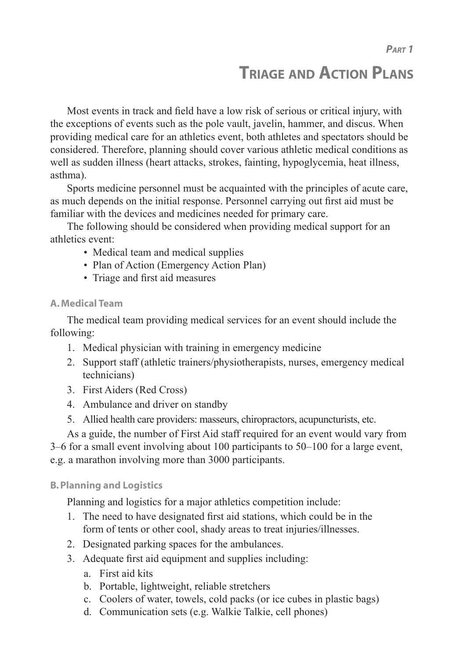# **TRIAGE AND ACTION PLANS**

Most events in track and field have a low risk of serious or critical injury, with the exceptions of events such as the pole vault, javelin, hammer, and discus. When providing medical care for an athletics event, both athletes and spectators should be considered. Therefore, planning should cover various athletic medical conditions as well as sudden illness (heart attacks, strokes, fainting, hypoglycemia, heat illness, asthma).

Sports medicine personnel must be acquainted with the principles of acute care, as much depends on the initial response. Personnel carrying out first aid must be familiar with the devices and medicines needed for primary care.

The following should be considered when providing medical support for an athletics event:

- Medical team and medical supplies
- Plan of Action (Emergency Action Plan)
- Triage and first aid measures

## **A. Medical Team**

The medical team providing medical services for an event should include the following:

- 1. Medical physician with training in emergency medicine
- 2. Support staff (athletic trainers/physiotherapists, nurses, emergency medical technicians)
- 3. First Aiders (Red Cross)
- 4. Ambulance and driver on standby
- 5. Allied health care providers: masseurs, chiropractors, acupuncturists, etc.

As a guide, the number of First Aid staff required for an event would vary from

3–6 for a small event involving about 100 participants to 50–100 for a large event,

e.g. a marathon involving more than 3000 participants.

## **B. Planning and Logistics**

Planning and logistics for a major athletics competition include:

- 1. The need to have designated first aid stations, which could be in the form of tents or other cool, shady areas to treat injuries/illnesses.
- 2. Designated parking spaces for the ambulances.
- 3. Adequate first aid equipment and supplies including:
	- a. First aid kits
	- b. Portable, lightweight, reliable stretchers
	- c. Coolers of water, towels, cold packs (or ice cubes in plastic bags)
	- d. Communication sets (e.g. Walkie Talkie, cell phones)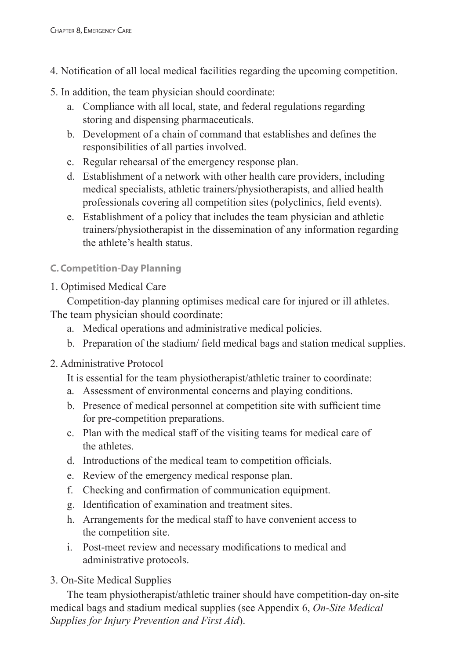- 4. Notification of all local medical facilities regarding the upcoming competition.
- 5. In addition, the team physician should coordinate:
	- a. Compliance with all local, state, and federal regulations regarding storing and dispensing pharmaceuticals.
	- b. Development of a chain of command that establishes and defines the responsibilities of all parties involved.
	- c. Regular rehearsal of the emergency response plan.
	- d. Establishment of a network with other health care providers, including medical specialists, athletic trainers/physiotherapists, and allied health professionals covering all competition sites (polyclinics, field events).
	- e. Establishment of a policy that includes the team physician and athletic trainers/physiotherapist in the dissemination of any information regarding the athlete's health status.
- **C. Competition-Day Planning**
- 1. Optimised Medical Care

Competition-day planning optimises medical care for injured or ill athletes. The team physician should coordinate:

- a. Medical operations and administrative medical policies.
- b. Preparation of the stadium/ field medical bags and station medical supplies.
- 2. Administrative Protocol

It is essential for the team physiotherapist/athletic trainer to coordinate:

- a. Assessment of environmental concerns and playing conditions.
- b. Presence of medical personnel at competition site with sufficient time for pre-competition preparations.
- c. Plan with the medical staff of the visiting teams for medical care of the athletes.
- d. Introductions of the medical team to competition officials.
- e. Review of the emergency medical response plan.
- f. Checking and confirmation of communication equipment.
- g. Identification of examination and treatment sites.
- h. Arrangements for the medical staff to have convenient access to the competition site.
- i. Post-meet review and necessary modifications to medical and administrative protocols.
- 3. On-Site Medical Supplies

The team physiotherapist/athletic trainer should have competition-day on-site medical bags and stadium medical supplies (see Appendix 6, *On-Site Medical Supplies for Injury Prevention and First Aid*).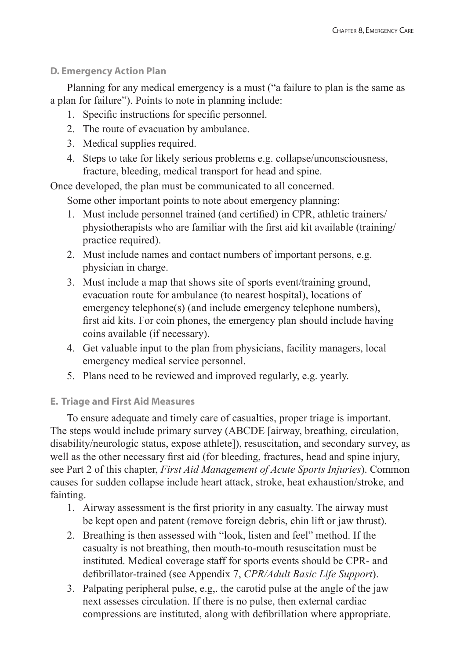## **D. Emergency Action Plan**

Planning for any medical emergency is a must ("a failure to plan is the same as a plan for failure"). Points to note in planning include:

- 1. Specific instructions for specific personnel.
- 2. The route of evacuation by ambulance.
- 3. Medical supplies required.
- 4. Steps to take for likely serious problems e.g. collapse/unconsciousness, fracture, bleeding, medical transport for head and spine.

Once developed, the plan must be communicated to all concerned.

Some other important points to note about emergency planning:

- 1. Must include personnel trained (and certified) in CPR, athletic trainers/ physiotherapists who are familiar with the first aid kit available (training/ practice required).
- 2. Must include names and contact numbers of important persons, e.g. physician in charge.
- 3. Must include a map that shows site of sports event/training ground, evacuation route for ambulance (to nearest hospital), locations of emergency telephone(s) (and include emergency telephone numbers), first aid kits. For coin phones, the emergency plan should include having coins available (if necessary).
- 4. Get valuable input to the plan from physicians, facility managers, local emergency medical service personnel.
- 5. Plans need to be reviewed and improved regularly, e.g. yearly.

## **E. Triage and First Aid Measures**

To ensure adequate and timely care of casualties, proper triage is important. The steps would include primary survey (ABCDE [airway, breathing, circulation, disability/neurologic status, expose athlete]), resuscitation, and secondary survey, as well as the other necessary first aid (for bleeding, fractures, head and spine injury, see Part 2 of this chapter, *First Aid Management of Acute Sports Injuries*). Common causes for sudden collapse include heart attack, stroke, heat exhaustion/stroke, and fainting.

- 1. Airway assessment is the first priority in any casualty. The airway must be kept open and patent (remove foreign debris, chin lift or jaw thrust).
- 2. Breathing is then assessed with "look, listen and feel" method. If the casualty is not breathing, then mouth-to-mouth resuscitation must be instituted. Medical coverage staff for sports events should be CPR- and defibrillator-trained (see Appendix 7, *CPR/Adult Basic Life Support*).
- 3. Palpating peripheral pulse, e.g,. the carotid pulse at the angle of the jaw next assesses circulation. If there is no pulse, then external cardiac compressions are instituted, along with defibrillation where appropriate.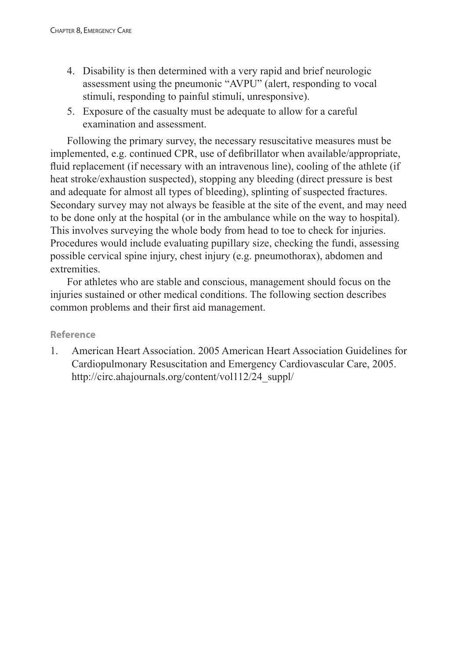- 4. Disability is then determined with a very rapid and brief neurologic assessment using the pneumonic "AVPU" (alert, responding to vocal stimuli, responding to painful stimuli, unresponsive).
- 5. Exposure of the casualty must be adequate to allow for a careful examination and assessment.

Following the primary survey, the necessary resuscitative measures must be implemented, e.g. continued CPR, use of defibrillator when available/appropriate, fluid replacement (if necessary with an intravenous line), cooling of the athlete (if heat stroke/exhaustion suspected), stopping any bleeding (direct pressure is best and adequate for almost all types of bleeding), splinting of suspected fractures. Secondary survey may not always be feasible at the site of the event, and may need to be done only at the hospital (or in the ambulance while on the way to hospital). This involves surveying the whole body from head to toe to check for injuries. Procedures would include evaluating pupillary size, checking the fundi, assessing possible cervical spine injury, chest injury (e.g. pneumothorax), abdomen and extremities.

For athletes who are stable and conscious, management should focus on the injuries sustained or other medical conditions. The following section describes common problems and their first aid management.

### **Reference**

1. American Heart Association. 2005 American Heart Association Guidelines for Cardiopulmonary Resuscitation and Emergency Cardiovascular Care, 2005. http://circ.ahajournals.org/content/vol112/24\_suppl/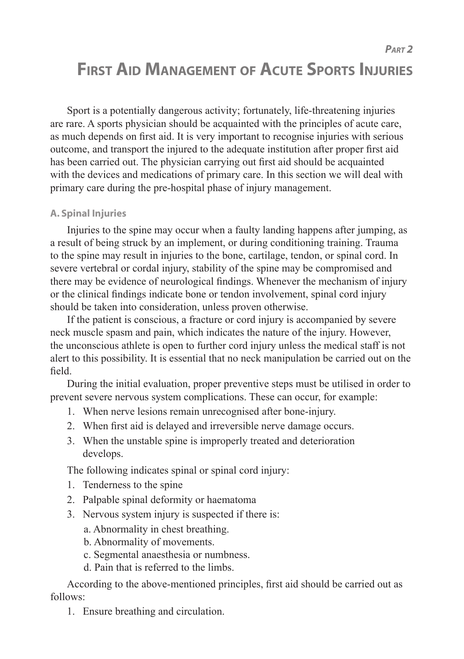*PART 2*

# **FIRST AID MANAGEMENT OF ACUTE SPORTS INJURIES**

Sport is a potentially dangerous activity; fortunately, life-threatening injuries are rare. A sports physician should be acquainted with the principles of acute care, as much depends on first aid. It is very important to recognise injuries with serious outcome, and transport the injured to the adequate institution after proper first aid has been carried out. The physician carrying out first aid should be acquainted with the devices and medications of primary care. In this section we will deal with primary care during the pre-hospital phase of injury management.

# **A. Spinal Injuries**

Injuries to the spine may occur when a faulty landing happens after jumping, as a result of being struck by an implement, or during conditioning training. Trauma to the spine may result in injuries to the bone, cartilage, tendon, or spinal cord. In severe vertebral or cordal injury, stability of the spine may be compromised and there may be evidence of neurological findings. Whenever the mechanism of injury or the clinical findings indicate bone or tendon involvement, spinal cord injury should be taken into consideration, unless proven otherwise.

If the patient is conscious, a fracture or cord injury is accompanied by severe neck muscle spasm and pain, which indicates the nature of the injury. However, the unconscious athlete is open to further cord injury unless the medical staff is not alert to this possibility. It is essential that no neck manipulation be carried out on the field.

During the initial evaluation, proper preventive steps must be utilised in order to prevent severe nervous system complications. These can occur, for example:

- 1. When nerve lesions remain unrecognised after bone-injury.
- 2. When first aid is delayed and irreversible nerve damage occurs.
- 3. When the unstable spine is improperly treated and deterioration develops.

The following indicates spinal or spinal cord injury:

- 1. Tenderness to the spine
- 2. Palpable spinal deformity or haematoma
- 3. Nervous system injury is suspected if there is:
	- a. Abnormality in chest breathing.
	- b. Abnormality of movements.
	- c. Segmental anaesthesia or numbness.
	- d. Pain that is referred to the limbs.

According to the above-mentioned principles, first aid should be carried out as follows:

1. Ensure breathing and circulation.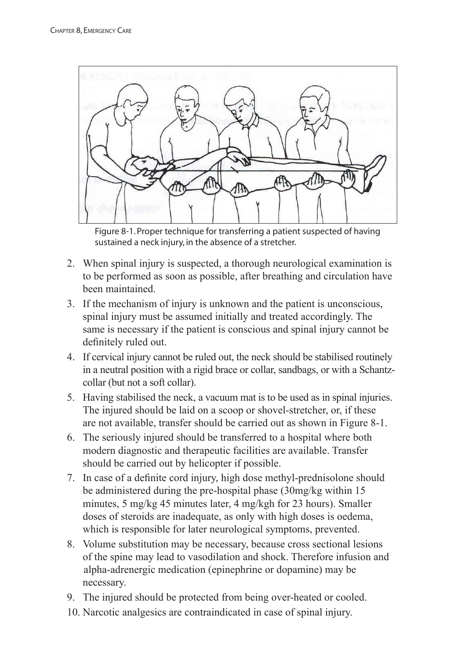

Figure 8-1. Proper technique for transferring a patient suspected of having sustained a neck injury, in the absence of a stretcher.

- 2. When spinal injury is suspected, a thorough neurological examination is to be performed as soon as possible, after breathing and circulation have been maintained.
- 3. If the mechanism of injury is unknown and the patient is unconscious, spinal injury must be assumed initially and treated accordingly. The same is necessary if the patient is conscious and spinal injury cannot be definitely ruled out.
- 4. If cervical injury cannot be ruled out, the neck should be stabilised routinely in a neutral position with a rigid brace or collar, sandbags, or with a Schantz collar (but not a soft collar).
- 5. Having stabilised the neck, a vacuum mat is to be used as in spinal injuries. The injured should be laid on a scoop or shovel-stretcher, or, if these are not available, transfer should be carried out as shown in Figure 8-1.
- 6. The seriously injured should be transferred to a hospital where both modern diagnostic and therapeutic facilities are available. Transfer should be carried out by helicopter if possible.
- 7. In case of a definite cord injury, high dose methyl-prednisolone should be administered during the pre-hospital phase (30mg/kg within 15 minutes, 5 mg/kg 45 minutes later, 4 mg/kgh for 23 hours). Smaller doses of steroids are inadequate, as only with high doses is oedema, which is responsible for later neurological symptoms, prevented.
- 8. Volume substitution may be necessary, because cross sectional lesions of the spine may lead to vasodilation and shock. Therefore infusion and alpha-adrenergic medication (epinephrine or dopamine) may be necessary.
- 9. The injured should be protected from being over-heated or cooled.
- 10. Narcotic analgesics are contraindicated in case of spinal injury.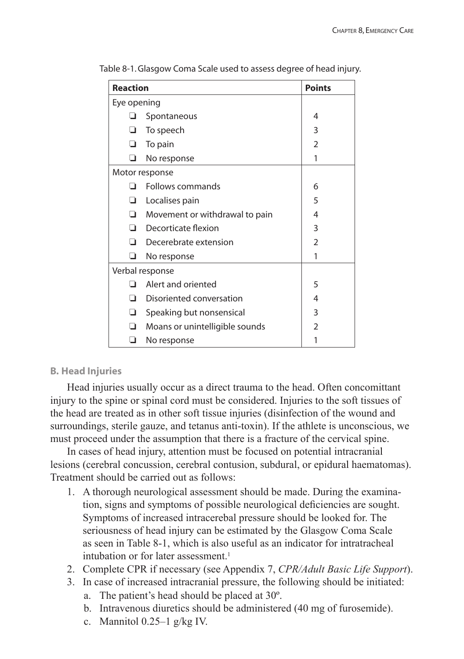| <b>Reaction</b> |                                | <b>Points</b>  |
|-----------------|--------------------------------|----------------|
| Eye opening     |                                |                |
|                 | Spontaneous                    | 4              |
| ❏               | To speech                      | 3              |
| ◻               | To pain                        | $\mathfrak z$  |
| ∩               | No response                    | 1              |
| Motor response  |                                |                |
|                 | Follows commands               | 6              |
| □               | Localises pain                 | 5              |
| n               | Movement or withdrawal to pain | 4              |
| ◻               | Decorticate flexion            | 3              |
| n               | Decerebrate extension          | $\mathfrak{D}$ |
| ו               | No response                    | 1              |
| Verbal response |                                |                |
|                 | Alert and oriented             | 5              |
| n               | Disoriented conversation       | 4              |
| ❏               | Speaking but nonsensical       | 3              |
| ◻               | Moans or unintelligible sounds | $\mathfrak{D}$ |
|                 | No response                    |                |

Table 8-1. Glasgow Coma Scale used to assess degree of head injury.

# **B. Head Injuries**

Head injuries usually occur as a direct trauma to the head. Often concomittant injury to the spine or spinal cord must be considered. Injuries to the soft tissues of the head are treated as in other soft tissue injuries (disinfection of the wound and surroundings, sterile gauze, and tetanus anti-toxin). If the athlete is unconscious, we must proceed under the assumption that there is a fracture of the cervical spine.

In cases of head injury, attention must be focused on potential intracranial lesions (cerebral concussion, cerebral contusion, subdural, or epidural haematomas). Treatment should be carried out as follows:

- 1. A thorough neurological assessment should be made. During the examina tion, signs and symptoms of possible neurological deficiencies are sought. Symptoms of increased intracerebal pressure should be looked for. The seriousness of head injury can be estimated by the Glasgow Coma Scale as seen in Table 8-1, which is also useful as an indicator for intratracheal intubation or for later assessment.<sup>1</sup>
- 2. Complete CPR if necessary (see Appendix 7, *CPR/Adult Basic Life Support*).
- 3. In case of increased intracranial pressure, the following should be initiated:
	- a. The patient's head should be placed at 30º.
	- b. Intravenous diuretics should be administered (40 mg of furosemide).
	- c. Mannitol  $0.25-1$  g/kg IV.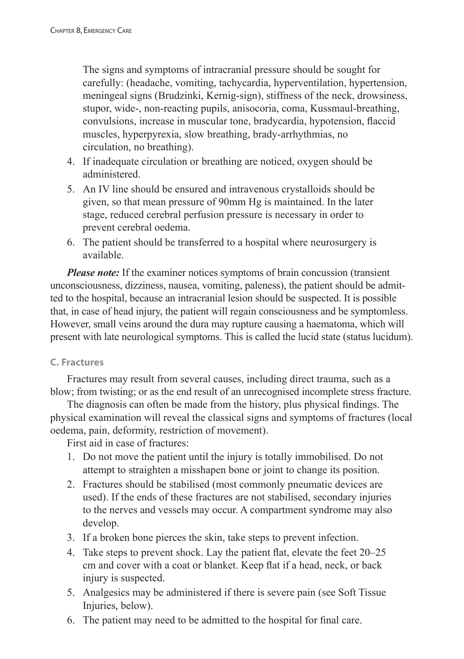The signs and symptoms of intracranial pressure should be sought for carefully: (headache, vomiting, tachycardia, hyperventilation, hypertension, meningeal signs (Brudzinki, Kernig-sign), stiffness of the neck, drowsiness, stupor, wide-, non-reacting pupils, anisocoria, coma, Kussmaul-breathing, convulsions, increase in muscular tone, bradycardia, hypotension, flaccid muscles, hyperpyrexia, slow breathing, brady-arrhythmias, no circulation, no breathing).

- 4. If inadequate circulation or breathing are noticed, oxygen should be administered.
- 5. An IV line should be ensured and intravenous crystalloids should be given, so that mean pressure of 90mm Hg is maintained. In the later stage, reduced cerebral perfusion pressure is necessary in order to prevent cerebral oedema.
- 6. The patient should be transferred to a hospital where neurosurgery is available.

*Please note:* If the examiner notices symptoms of brain concussion (transient) unconsciousness, dizziness, nausea, vomiting, paleness), the patient should be admitted to the hospital, because an intracranial lesion should be suspected. It is possible that, in case of head injury, the patient will regain consciousness and be symptomless. However, small veins around the dura may rupture causing a haematoma, which will present with late neurological symptoms. This is called the lucid state (status lucidum).

# **C. Fractures**

Fractures may result from several causes, including direct trauma, such as a blow; from twisting; or as the end result of an unrecognised incomplete stress fracture.

The diagnosis can often be made from the history, plus physical findings. The physical examination will reveal the classical signs and symptoms of fractures (local oedema, pain, deformity, restriction of movement).

First aid in case of fractures:

- 1. Do not move the patient until the injury is totally immobilised. Do not attempt to straighten a misshapen bone or joint to change its position.
- 2. Fractures should be stabilised (most commonly pneumatic devices are used). If the ends of these fractures are not stabilised, secondary injuries to the nerves and vessels may occur. A compartment syndrome may also develop.
- 3. If a broken bone pierces the skin, take steps to prevent infection.
- 4. Take steps to prevent shock. Lay the patient flat, elevate the feet 20–25 cm and cover with a coat or blanket. Keep flat if a head, neck, or back injury is suspected.
- 5. Analgesics may be administered if there is severe pain (see Soft Tissue Injuries, below).
- 6. The patient may need to be admitted to the hospital for final care.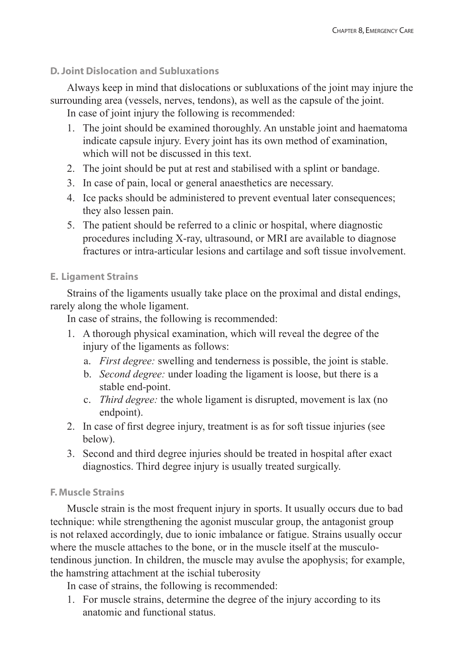# **D. Joint Dislocation and Subluxations**

Always keep in mind that dislocations or subluxations of the joint may injure the surrounding area (vessels, nerves, tendons), as well as the capsule of the joint.

In case of joint injury the following is recommended:

- 1. The joint should be examined thoroughly. An unstable joint and haematoma indicate capsule injury. Every joint has its own method of examination, which will not be discussed in this text.
- 2. The joint should be put at rest and stabilised with a splint or bandage.
- 3. In case of pain, local or general anaesthetics are necessary.
- 4. Ice packs should be administered to prevent eventual later consequences; they also lessen pain.
- 5. The patient should be referred to a clinic or hospital, where diagnostic procedures including X-ray, ultrasound, or MRI are available to diagnose fractures or intra-articular lesions and cartilage and soft tissue involvement.

# **E. Ligament Strains**

Strains of the ligaments usually take place on the proximal and distal endings, rarely along the whole ligament.

In case of strains, the following is recommended:

- 1. A thorough physical examination, which will reveal the degree of the injury of the ligaments as follows:
	- a. *First degree:* swelling and tenderness is possible, the joint is stable.
	- b. *Second degree:* under loading the ligament is loose, but there is a stable end-point.
	- c. *Third degree:* the whole ligament is disrupted, movement is lax (no endpoint).
- 2. In case of first degree injury, treatment is as for soft tissue injuries (see below).
- 3. Second and third degree injuries should be treated in hospital after exact diagnostics. Third degree injury is usually treated surgically.

# **F. Muscle Strains**

Muscle strain is the most frequent injury in sports. It usually occurs due to bad technique: while strengthening the agonist muscular group, the antagonist group is not relaxed accordingly, due to ionic imbalance or fatigue. Strains usually occur where the muscle attaches to the bone, or in the muscle itself at the musculotendinous junction. In children, the muscle may avulse the apophysis; for example, the hamstring attachment at the ischial tuberosity

In case of strains, the following is recommended:

1. For muscle strains, determine the degree of the injury according to its anatomic and functional status.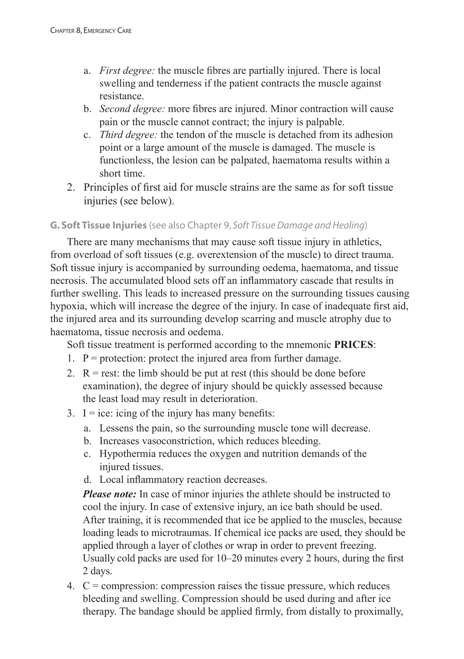- a. *First degree:* the muscle fibres are partially injured. There is local swelling and tenderness if the patient contracts the muscle against resistance.
- b. *Second degree:* more fibres are injured. Minor contraction will cause pain or the muscle cannot contract; the injury is palpable.
- c. *Third degree:* the tendon of the muscle is detached from its adhesion point or a large amount of the muscle is damaged. The muscle is functionless, the lesion can be palpated, haematoma results within a short time.
- 2. Principles of first aid for muscle strains are the same as for soft tissue injuries (see below).

# **G. Soft Tissue Injuries** (see also Chapter 9, *Soft Tissue Damage and Healing*)

There are many mechanisms that may cause soft tissue injury in athletics, from overload of soft tissues (e.g. overextension of the muscle) to direct trauma. Soft tissue injury is accompanied by surrounding oedema, haematoma, and tissue necrosis. The accumulated blood sets off an inflammatory cascade that results in further swelling. This leads to increased pressure on the surrounding tissues causing hypoxia, which will increase the degree of the injury. In case of inadequate first aid, the injured area and its surrounding develop scarring and muscle atrophy due to haematoma, tissue necrosis and oedema.

Soft tissue treatment is performed according to the mnemonic **PRICES**:

- 1.  $P =$  protection: protect the injured area from further damage.
- 2.  $R = \text{rest}$ : the limb should be put at rest (this should be done before examination), the degree of injury should be quickly assessed because the least load may result in deterioration.
- 3. I = ice: icing of the injury has many benefits:
	- a. Lessens the pain, so the surrounding muscle tone will decrease.
	- b. Increases vasoconstriction, which reduces bleeding.
	- c. Hypothermia reduces the oxygen and nutrition demands of the injured tissues.
	- d. Local inflammatory reaction decreases.

*Please note:* In case of minor injuries the athlete should be instructed to cool the injury. In case of extensive injury, an ice bath should be used. After training, it is recommended that ice be applied to the muscles, because loading leads to microtraumas. If chemical ice packs are used, they should be applied through a layer of clothes or wrap in order to prevent freezing. Usually cold packs are used for 10–20 minutes every 2 hours, during the first 2 days.

4.  $C =$  compression: compression raises the tissue pressure, which reduces bleeding and swelling. Compression should be used during and after ice therapy. The bandage should be applied firmly, from distally to proximally,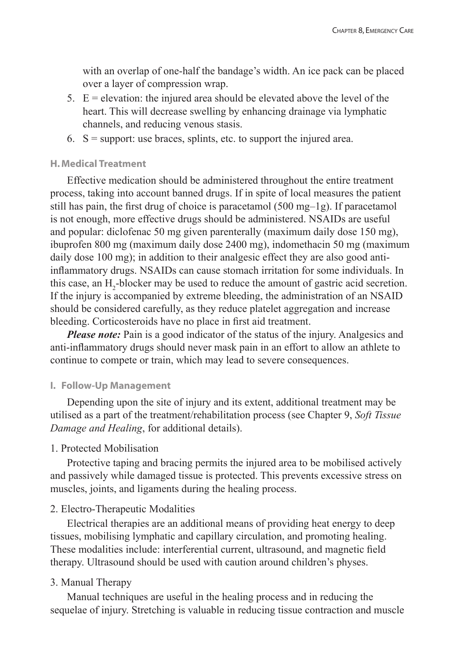with an overlap of one-half the bandage's width. An ice pack can be placed over a layer of compression wrap.

- 5.  $E =$  elevation: the injured area should be elevated above the level of the heart. This will decrease swelling by enhancing drainage via lymphatic channels, and reducing venous stasis.
- 6.  $S =$  support: use braces, splints, etc. to support the injured area.

#### **H. Medical Treatment**

Effective medication should be administered throughout the entire treatment process, taking into account banned drugs. If in spite of local measures the patient still has pain, the first drug of choice is paracetamol (500 mg–1g). If paracetamol is not enough, more effective drugs should be administered. NSAIDs are useful and popular: diclofenac 50 mg given parenterally (maximum daily dose 150 mg), ibuprofen 800 mg (maximum daily dose 2400 mg), indomethacin 50 mg (maximum daily dose 100 mg); in addition to their analgesic effect they are also good antiinflammatory drugs. NSAIDs can cause stomach irritation for some individuals. In this case, an  $H_2$ -blocker may be used to reduce the amount of gastric acid secretion. If the injury is accompanied by extreme bleeding, the administration of an NSAID should be considered carefully, as they reduce platelet aggregation and increase bleeding. Corticosteroids have no place in first aid treatment.

*Please note:* Pain is a good indicator of the status of the injury. Analgesics and anti-inflammatory drugs should never mask pain in an effort to allow an athlete to continue to compete or train, which may lead to severe consequences.

#### **I. Follow-Up Management**

Depending upon the site of injury and its extent, additional treatment may be utilised as a part of the treatment/rehabilitation process (see Chapter 9, *Soft Tissue Damage and Healing*, for additional details).

#### 1. Protected Mobilisation

Protective taping and bracing permits the injured area to be mobilised actively and passively while damaged tissue is protected. This prevents excessive stress on muscles, joints, and ligaments during the healing process.

#### 2. Electro-Therapeutic Modalities

Electrical therapies are an additional means of providing heat energy to deep tissues, mobilising lymphatic and capillary circulation, and promoting healing. These modalities include: interferential current, ultrasound, and magnetic field therapy. Ultrasound should be used with caution around children's physes.

#### 3. Manual Therapy

Manual techniques are useful in the healing process and in reducing the sequelae of injury. Stretching is valuable in reducing tissue contraction and muscle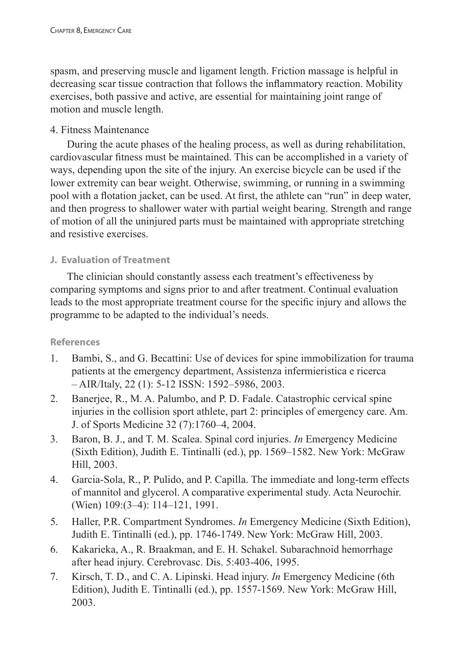spasm, and preserving muscle and ligament length. Friction massage is helpful in decreasing scar tissue contraction that follows the inflammatory reaction. Mobility exercises, both passive and active, are essential for maintaining joint range of motion and muscle length.

# 4. Fitness Maintenance

During the acute phases of the healing process, as well as during rehabilitation, cardiovascular fitness must be maintained. This can be accomplished in a variety of ways, depending upon the site of the injury. An exercise bicycle can be used if the lower extremity can bear weight. Otherwise, swimming, or running in a swimming pool with a flotation jacket, can be used. At first, the athlete can "run" in deep water, and then progress to shallower water with partial weight bearing. Strength and range of motion of all the uninjured parts must be maintained with appropriate stretching and resistive exercises.

# **J. Evaluation of Treatment**

The clinician should constantly assess each treatment's effectiveness by comparing symptoms and signs prior to and after treatment. Continual evaluation leads to the most appropriate treatment course for the specific injury and allows the programme to be adapted to the individual's needs.

## **References**

- 1. Bambi, S., and G. Becattini: Use of devices for spine immobilization for trauma patients at the emergency department, Assistenza infermieristica e ricerca – AIR/Italy, 22 (1): 5-12 ISSN: 1592–5986, 2003.
- 2. Banerjee, R., M. A. Palumbo, and P. D. Fadale. Catastrophic cervical spine injuries in the collision sport athlete, part 2: principles of emergency care. Am. J. of Sports Medicine 32 (7):1760–4, 2004.
- 3. Baron, B. J., and T. M. Scalea. Spinal cord injuries. *In* Emergency Medicine (Sixth Edition), Judith E. Tintinalli (ed.), pp. 1569–1582. New York: McGraw Hill, 2003.
- 4. Garcia-Sola, R., P. Pulido, and P. Capilla. The immediate and long-term effects of mannitol and glycerol. A comparative experimental study. Acta Neurochir. (Wien) 109:(3–4): 114–121, 1991.
- 5. Haller, P.R. Compartment Syndromes. *In* Emergency Medicine (Sixth Edition), Judith E. Tintinalli (ed.), pp. 1746-1749. New York: McGraw Hill, 2003.
- 6. Kakarieka, A., R. Braakman, and E. H. Schakel. Subarachnoid hemorrhage after head injury. Cerebrovasc. Dis. 5:403-406, 1995.
- 7. Kirsch, T. D., and C. A. Lipinski. Head injury. *In* Emergency Medicine (6th Edition), Judith E. Tintinalli (ed.), pp. 1557-1569. New York: McGraw Hill, 2003.